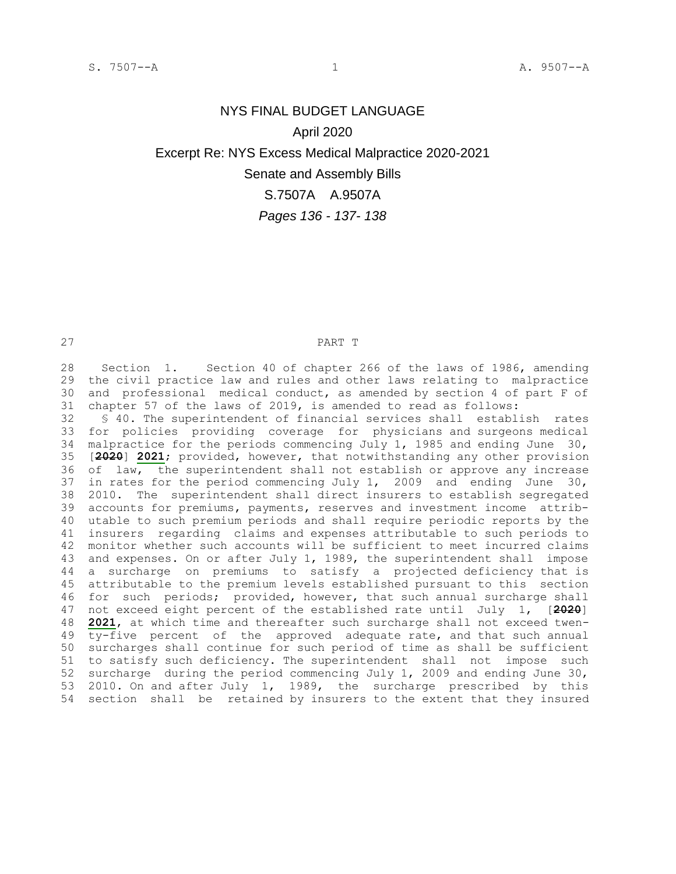## NYS FINAL BUDGET LANGUAGE April 2020 Excerpt Re: NYS Excess Medical Malpractice 2020-2021 Senate and Assembly Bills S.7507A A.9507A

## *Pages 136 - 137- 138*

## PART T

 Section 1. Section 40 of chapter 266 of the laws of 1986, amending the civil practice law and rules and other laws relating to malpractice and professional medical conduct, as amended by section 4 of part F of chapter 57 of the laws of 2019, is amended to read as follows:

 § 40. The superintendent of financial services shall establish rates for policies providing coverage for physicians and surgeons medical malpractice for the periods commencing July 1, 1985 and ending June 30, [**2020**] **2021**; provided, however, that notwithstanding any other provision 36 of law, the superintendent shall not establish or approve any increase in rates for the period commencing July 1, 2009 and ending June 30, 2010. The superintendent shall direct insurers to establish segregated accounts for premiums, payments, reserves and investment income attrib- utable to such premium periods and shall require periodic reports by the insurers regarding claims and expenses attributable to such periods to monitor whether such accounts will be sufficient to meet incurred claims and expenses. On or after July 1, 1989, the superintendent shall impose a surcharge on premiums to satisfy a projected deficiency that is attributable to the premium levels established pursuant to this section for such periods; provided, however, that such annual surcharge shall not exceed eight percent of the established rate until July 1, [**2020**] **2021**, at which time and thereafter such surcharge shall not exceed twen- ty-five percent of the approved adequate rate, and that such annual surcharges shall continue for such period of time as shall be sufficient to satisfy such deficiency. The superintendent shall not impose such surcharge during the period commencing July 1, 2009 and ending June 30, 2010. On and after July 1, 1989, the surcharge prescribed by this section shall be retained by insurers to the extent that they insured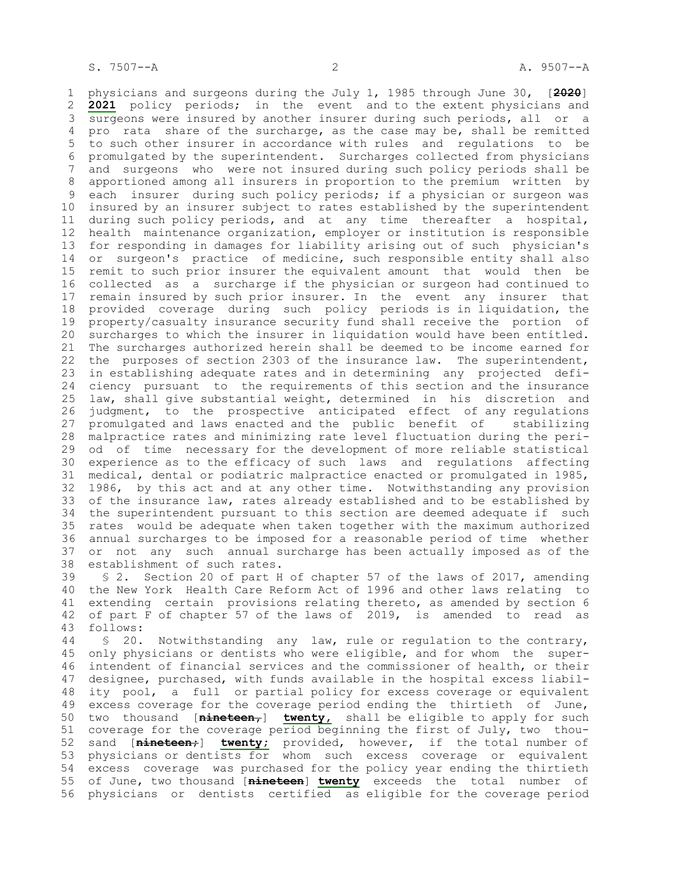physicians and surgeons during the July 1, 1985 through June 30, [**2020**] **2021** policy periods; in the event and to the extent physicians and surgeons were insured by another insurer during such periods, all or a pro rata share of the surcharge, as the case may be, shall be remitted to such other insurer in accordance with rules and regulations to be promulgated by the superintendent. Surcharges collected from physicians and surgeons who were not insured during such policy periods shall be apportioned among all insurers in proportion to the premium written by each insurer during such policy periods; if a physician or surgeon was insured by an insurer subject to rates established by the superintendent during such policy periods, and at any time thereafter a hospital, health maintenance organization, employer or institution is responsible for responding in damages for liability arising out of such physician's or surgeon's practice of medicine, such responsible entity shall also remit to such prior insurer the equivalent amount that would then be collected as a surcharge if the physician or surgeon had continued to remain insured by such prior insurer. In the event any insurer that provided coverage during such policy periods is in liquidation, the property/casualty insurance security fund shall receive the portion of surcharges to which the insurer in liquidation would have been entitled. The surcharges authorized herein shall be deemed to be income earned for the purposes of section 2303 of the insurance law. The superintendent, in establishing adequate rates and in determining any projected defi- ciency pursuant to the requirements of this section and the insurance law, shall give substantial weight, determined in his discretion and judgment, to the prospective anticipated effect of any regulations promulgated and laws enacted and the public benefit of stabilizing malpractice rates and minimizing rate level fluctuation during the peri- od of time necessary for the development of more reliable statistical experience as to the efficacy of such laws and regulations affecting medical, dental or podiatric malpractice enacted or promulgated in 1985, 1986, by this act and at any other time. Notwithstanding any provision of the insurance law, rates already established and to be established by the superintendent pursuant to this section are deemed adequate if such rates would be adequate when taken together with the maximum authorized annual surcharges to be imposed for a reasonable period of time whether or not any such annual surcharge has been actually imposed as of the establishment of such rates.

 § 2. Section 20 of part H of chapter 57 of the laws of 2017, amending the New York Health Care Reform Act of 1996 and other laws relating to extending certain provisions relating thereto, as amended by section 6 of part F of chapter 57 of the laws of 2019, is amended to read as follows:

 § 20. Notwithstanding any law, rule or regulation to the contrary, only physicians or dentists who were eligible, and for whom the super- intendent of financial services and the commissioner of health, or their designee, purchased, with funds available in the hospital excess liabil- ity pool, a full or partial policy for excess coverage or equivalent excess coverage for the coverage period ending the thirtieth of June, two thousand [**nineteen,**] **twenty,** shall be eligible to apply for such coverage for the coverage period beginning the first of July, two thou- sand [**nineteen;**] **twenty;** provided, however, if the total number of physicians or dentists for whom such excess coverage or equivalent excess coverage was purchased for the policy year ending the thirtieth of June, two thousand [**nineteen**] **twenty** exceeds the total number of physicians or dentists certified as eligible for the coverage period